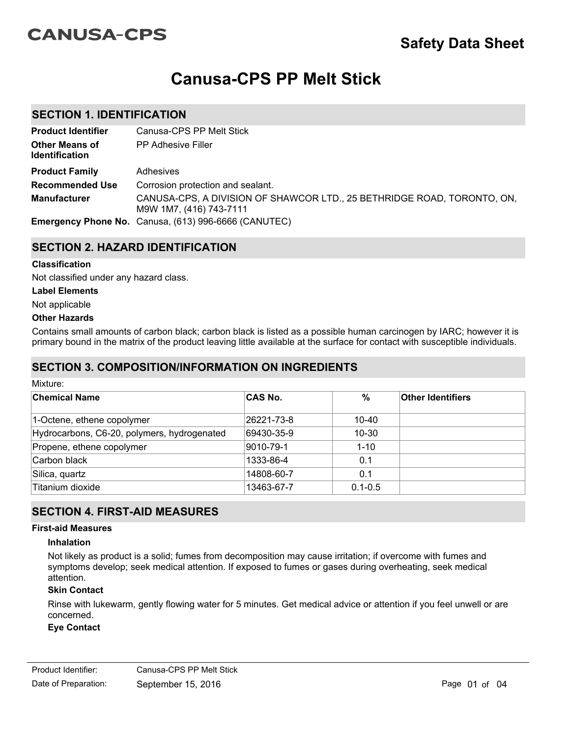# **CANUSA-CPS**

# **Canusa-CPS PP Melt Stick**

## **SECTION 1. IDENTIFICATION**

| <b>Product Identifier</b>                      | Canusa-CPS PP Melt Stick                                                                           |
|------------------------------------------------|----------------------------------------------------------------------------------------------------|
| <b>Other Means of</b><br><b>Identification</b> | <b>PP Adhesive Filler</b>                                                                          |
| <b>Product Family</b>                          | Adhesives                                                                                          |
| <b>Recommended Use</b>                         | Corrosion protection and sealant.                                                                  |
| <b>Manufacturer</b>                            | CANUSA-CPS, A DIVISION OF SHAWCOR LTD., 25 BETHRIDGE ROAD, TORONTO, ON,<br>M9W 1M7, (416) 743-7111 |
|                                                | <b>Emergency Phone No.</b> Canusa, (613) 996-6666 (CANUTEC)                                        |

# **SECTION 2. HAZARD IDENTIFICATION**

#### **Classification**

Not classified under any hazard class.

#### **Label Elements**

Not applicable

#### **Other Hazards**

Contains small amounts of carbon black; carbon black is listed as a possible human carcinogen by IARC; however it is primary bound in the matrix of the product leaving little available at the surface for contact with susceptible individuals.

## **SECTION 3. COMPOSITION/INFORMATION ON INGREDIENTS**

| Mixture:                                    |                |             |                          |  |  |
|---------------------------------------------|----------------|-------------|--------------------------|--|--|
| ∣Chemical Name                              | <b>CAS No.</b> | $\%$        | <b>Other Identifiers</b> |  |  |
| 1-Octene, ethene copolymer                  | 26221-73-8     | 10-40       |                          |  |  |
| Hydrocarbons, C6-20, polymers, hydrogenated | 69430-35-9     | $10 - 30$   |                          |  |  |
| Propene, ethene copolymer                   | 9010-79-1      | $1 - 10$    |                          |  |  |
| Carbon black                                | 1333-86-4      | 0.1         |                          |  |  |
| Silica, quartz                              | 14808-60-7     | 0.1         |                          |  |  |
| Titanium dioxide                            | 13463-67-7     | $0.1 - 0.5$ |                          |  |  |

## **SECTION 4. FIRST-AID MEASURES**

#### **First-aid Measures**

#### **Inhalation**

Not likely as product is a solid; fumes from decomposition may cause irritation; if overcome with fumes and symptoms develop; seek medical attention. If exposed to fumes or gases during overheating, seek medical attention.

#### **Skin Contact**

Rinse with lukewarm, gently flowing water for 5 minutes. Get medical advice or attention if you feel unwell or are concerned.

#### **Eye Contact**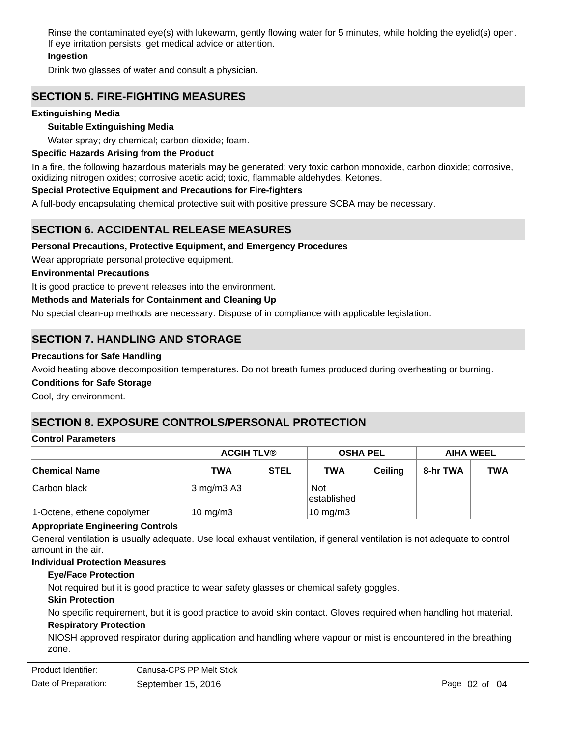Rinse the contaminated eye(s) with lukewarm, gently flowing water for 5 minutes, while holding the eyelid(s) open. If eye irritation persists, get medical advice or attention.

### **Ingestion**

Drink two glasses of water and consult a physician.

# **SECTION 5. FIRE-FIGHTING MEASURES**

#### **Extinguishing Media**

#### **Suitable Extinguishing Media**

Water spray; dry chemical; carbon dioxide; foam.

#### **Specific Hazards Arising from the Product**

In a fire, the following hazardous materials may be generated: very toxic carbon monoxide, carbon dioxide; corrosive, oxidizing nitrogen oxides; corrosive acetic acid; toxic, flammable aldehydes. Ketones.

#### **Special Protective Equipment and Precautions for Fire-fighters**

A full-body encapsulating chemical protective suit with positive pressure SCBA may be necessary.

## **SECTION 6. ACCIDENTAL RELEASE MEASURES**

#### **Personal Precautions, Protective Equipment, and Emergency Procedures**

Wear appropriate personal protective equipment.

#### **Environmental Precautions**

It is good practice to prevent releases into the environment.

#### **Methods and Materials for Containment and Cleaning Up**

No special clean-up methods are necessary. Dispose of in compliance with applicable legislation.

## **SECTION 7. HANDLING AND STORAGE**

#### **Precautions for Safe Handling**

Avoid heating above decomposition temperatures. Do not breath fumes produced during overheating or burning.

#### **Conditions for Safe Storage**

Cool, dry environment.

# **SECTION 8. EXPOSURE CONTROLS/PERSONAL PROTECTION**

#### **Control Parameters**

|                            | <b>ACGIH TLV®</b>                  |             | <b>OSHA PEL</b>     |                | <b>AIHA WEEL</b> |            |
|----------------------------|------------------------------------|-------------|---------------------|----------------|------------------|------------|
| <b>Chemical Name</b>       | TWA                                | <b>STEL</b> | <b>TWA</b>          | <b>Ceiling</b> | 8-hr TWA         | <b>TWA</b> |
| Carbon black               | $3 \text{ mg/m}$ $3 \text{ A}$ $3$ |             | Not<br>lestablished |                |                  |            |
| 1-Octene, ethene copolymer | $10 \text{ mg/m}$ 3                |             | $10 \text{ mg/m}$ 3 |                |                  |            |

#### **Appropriate Engineering Controls**

General ventilation is usually adequate. Use local exhaust ventilation, if general ventilation is not adequate to control amount in the air.

#### **Individual Protection Measures**

#### **Eye/Face Protection**

Not required but it is good practice to wear safety glasses or chemical safety goggles.

#### **Skin Protection**

**Respiratory Protection** No specific requirement, but it is good practice to avoid skin contact. Gloves required when handling hot material.

NIOSH approved respirator during application and handling where vapour or mist is encountered in the breathing zone.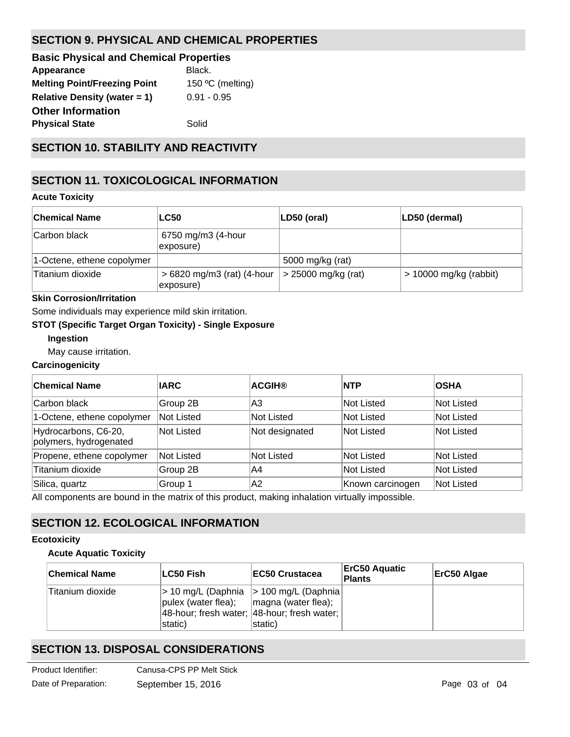# **SECTION 9. PHYSICAL AND CHEMICAL PROPERTIES**

| <b>Basic Physical and Chemical Properties</b> |                  |
|-----------------------------------------------|------------------|
| Appearance                                    | Black.           |
| <b>Melting Point/Freezing Point</b>           | 150 °C (melting) |
| <b>Relative Density (water = 1)</b>           | $0.91 - 0.95$    |
| <b>Other Information</b>                      |                  |
| <b>Physical State</b>                         | Solid            |
|                                               |                  |

# **SECTION 10. STABILITY AND REACTIVITY**

# **SECTION 11. TOXICOLOGICAL INFORMATION**

#### **Acute Toxicity**

| ∣Chemical Name             | <b>LC50</b>                              | LD50 (oral)           | LD50 (dermal)            |
|----------------------------|------------------------------------------|-----------------------|--------------------------|
| Carbon black               | 6750 mg/m3 (4-hour<br>exposure)          |                       |                          |
| 1-Octene, ethene copolymer |                                          | 5000 mg/kg (rat)      |                          |
| Titanium dioxide           | $>6820$ mg/m3 (rat) (4-hour<br>exposure) | $>$ 25000 mg/kg (rat) | $> 10000$ mg/kg (rabbit) |

## **Skin Corrosion/Irritation**

Some individuals may experience mild skin irritation.

#### **STOT (Specific Target Organ Toxicity) - Single Exposure**

### **Ingestion**

May cause irritation.

#### **Carcinogenicity**

| <b>Chemical Name</b>                           | <b>IARC</b> | <b>ACGIH®</b>     | <b>NTP</b>       | <b>OSHA</b> |
|------------------------------------------------|-------------|-------------------|------------------|-------------|
| Carbon black                                   | Group 2B    | lA3               | Not Listed       | Not Listed  |
| 1-Octene, ethene copolymer                     | Not Listed  | <b>Not Listed</b> | Not Listed       | Not Listed  |
| Hydrocarbons, C6-20,<br>polymers, hydrogenated | Not Listed  | Not designated    | Not Listed       | Not Listed  |
| Propene, ethene copolymer                      | Not Listed  | <b>Not Listed</b> | Not Listed       | Not Listed  |
| Titanium dioxide                               | Group 2B    | IA4               | Not Listed       | Not Listed  |
| Silica, quartz                                 | Group 1     | A2                | Known carcinogen | Not Listed  |

All components are bound in the matrix of this product, making inhalation virtually impossible.

# **SECTION 12. ECOLOGICAL INFORMATION**

#### **Ecotoxicity**

#### **Acute Aquatic Toxicity**

| <b>Chemical Name</b> | ∣LC50 Fish∶                                                                  | <b>IEC50 Crustacea</b>                                                                                    | <b>ErC50 Aquatic</b><br><b>Plants</b> | ErC50 Algae |
|----------------------|------------------------------------------------------------------------------|-----------------------------------------------------------------------------------------------------------|---------------------------------------|-------------|
| Titanium dioxide     | $ _{\text{pulex}}$ (water flea); $ _{\text{magna}}$ (water flea);<br>static) | $ $ > 10 mg/L (Daphnia $ $ > 100 mg/L (Daphnia)<br>48-hour; fresh water; 48-hour; fresh water;<br>static) |                                       |             |

# **SECTION 13. DISPOSAL CONSIDERATIONS**